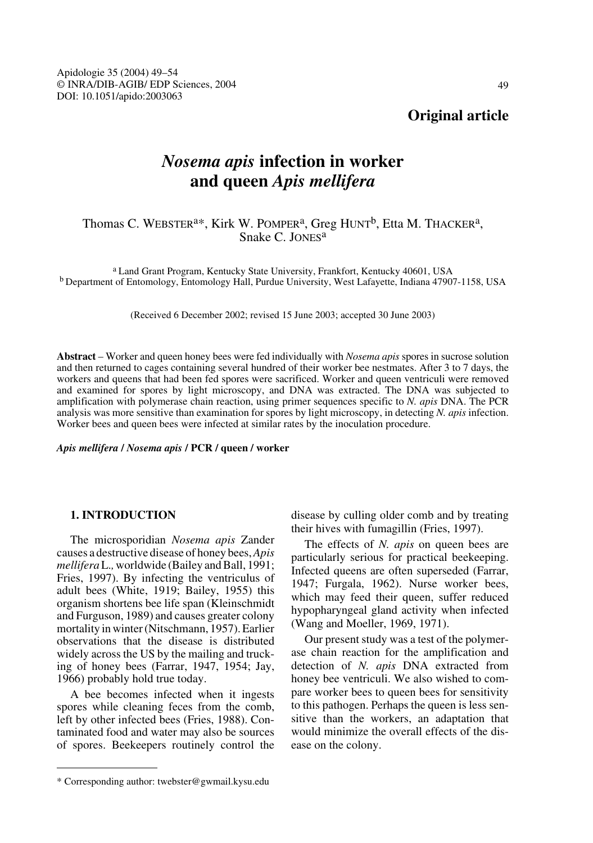# **Original article**

# *Nosema apis* **infection in worker and queen** *Apis mellifera*

# Thomas C. WEBSTER<sup>a\*</sup>, Kirk W. POMPER<sup>a</sup>, Greg HUNT<sup>b</sup>, Etta M. THACKER<sup>a</sup>, Snake C. JONES<sup>a</sup>

a Land Grant Program, Kentucky State University, Frankfort, Kentucky 40601, USA b Department of Entomology, Entomology Hall, Purdue University, West Lafayette, Indiana 47907-1158, USA

(Received 6 December 2002; revised 15 June 2003; accepted 30 June 2003)

**Abstract** – Worker and queen honey bees were fed individually with *Nosema apis* spores in sucrose solution and then returned to cages containing several hundred of their worker bee nestmates. After 3 to 7 days, the workers and queens that had been fed spores were sacrificed. Worker and queen ventriculi were removed and examined for spores by light microscopy, and DNA was extracted. The DNA was subjected to amplification with polymerase chain reaction, using primer sequences specific to *N. apis* DNA. The PCR analysis was more sensitive than examination for spores by light microscopy, in detecting *N. apis* infection. Worker bees and queen bees were infected at similar rates by the inoculation procedure.

*Apis mellifera* **/** *Nosema apis* **/ PCR / queen / worker**

# **1. INTRODUCTION**

The microsporidian *Nosema apis* Zander causes a destructive disease of honey bees, *Apis mellifera* L.*,* worldwide (Bailey and Ball, 1991; Fries, 1997). By infecting the ventriculus of adult bees (White, 1919; Bailey, 1955) this organism shortens bee life span (Kleinschmidt and Furguson, 1989) and causes greater colony mortality in winter (Nitschmann, 1957). Earlier observations that the disease is distributed widely across the US by the mailing and trucking of honey bees (Farrar, 1947, 1954; Jay, 1966) probably hold true today.

A bee becomes infected when it ingests spores while cleaning feces from the comb, left by other infected bees (Fries, 1988). Contaminated food and water may also be sources of spores. Beekeepers routinely control the disease by culling older comb and by treating their hives with fumagillin (Fries, 1997).

The effects of *N. apis* on queen bees are particularly serious for practical beekeeping. Infected queens are often superseded (Farrar, 1947; Furgala, 1962). Nurse worker bees, which may feed their queen, suffer reduced hypopharyngeal gland activity when infected (Wang and Moeller, 1969, 1971).

Our present study was a test of the polymerase chain reaction for the amplification and detection of *N. apis* DNA extracted from honey bee ventriculi. We also wished to compare worker bees to queen bees for sensitivity to this pathogen. Perhaps the queen is less sensitive than the workers, an adaptation that would minimize the overall effects of the disease on the colony.

<sup>\*</sup> Corresponding author: twebster@gwmail.kysu.edu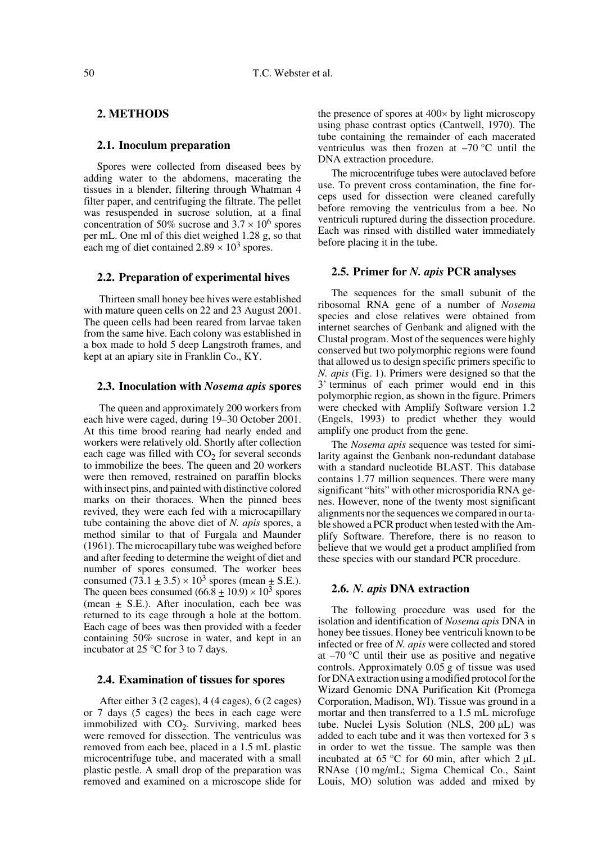# **2. METHODS**

#### **2.1. Inoculum preparation**

Spores were collected from diseased bees by adding water to the abdomens, macerating the tissues in a blender, filtering through Whatman 4 filter paper, and centrifuging the filtrate. The pellet was resuspended in sucrose solution, at a final concentration of 50% sucrose and  $3.7 \times 10^6$  spores per mL. One ml of this diet weighed 1.28 g, so that each mg of diet contained  $2.89 \times 10^3$  spores.

#### **2.2. Preparation of experimental hives**

 Thirteen small honey bee hives were established with mature queen cells on 22 and 23 August 2001. The queen cells had been reared from larvae taken from the same hive. Each colony was established in a box made to hold 5 deep Langstroth frames, and kept at an apiary site in Franklin Co., KY.

#### **2.3. Inoculation with** *Nosema apis* **spores**

The queen and approximately 200 workers from each hive were caged, during 19–30 October 2001. At this time brood rearing had nearly ended and workers were relatively old. Shortly after collection each cage was filled with  $CO<sub>2</sub>$  for several seconds to immobilize the bees. The queen and 20 workers were then removed, restrained on paraffin blocks with insect pins, and painted with distinctive colored marks on their thoraces. When the pinned bees revived, they were each fed with a microcapillary tube containing the above diet of *N. apis* spores, a method similar to that of Furgala and Maunder (1961). The microcapillary tube was weighed before and after feeding to determine the weight of diet and number of spores consumed. The worker bees consumed  $(73.1 \pm 3.5) \times 10^3$  spores (mean  $\pm$  S.E.). The queen bees consumed  $(66.8 \pm 10.9) \times 10^3$  spores (mean  $\pm$  S.E.). After inoculation, each bee was returned to its cage through a hole at the bottom. Each cage of bees was then provided with a feeder containing 50% sucrose in water, and kept in an incubator at 25 °C for 3 to 7 days.

#### **2.4. Examination of tissues for spores**

 After either 3 (2 cages), 4 (4 cages), 6 (2 cages) or 7 days (5 cages) the bees in each cage were immobilized with  $CO<sub>2</sub>$ . Surviving, marked bees were removed for dissection. The ventriculus was removed from each bee, placed in a 1.5 mL plastic microcentrifuge tube, and macerated with a small plastic pestle. A small drop of the preparation was removed and examined on a microscope slide for

the presence of spores at 400× by light microscopy using phase contrast optics (Cantwell, 1970). The tube containing the remainder of each macerated ventriculus was then frozen at  $-70$  °C until the DNA extraction procedure.

The microcentrifuge tubes were autoclaved before use. To prevent cross contamination, the fine forceps used for dissection were cleaned carefully before removing the ventriculus from a bee. No ventriculi ruptured during the dissection procedure. Each was rinsed with distilled water immediately before placing it in the tube.

#### **2.5. Primer for** *N. apis* **PCR analyses**

The sequences for the small subunit of the ribosomal RNA gene of a number of *Nosema* species and close relatives were obtained from internet searches of Genbank and aligned with the Clustal program. Most of the sequences were highly conserved but two polymorphic regions were found that allowed us to design specific primers specific to *N. apis* (Fig. 1). Primers were designed so that the 3' terminus of each primer would end in this polymorphic region, as shown in the figure. Primers were checked with Amplify Software version 1.2 (Engels, 1993) to predict whether they would amplify one product from the gene.

The *Nosema apis* sequence was tested for similarity against the Genbank non-redundant database with a standard nucleotide BLAST. This database contains 1.77 million sequences. There were many significant "hits" with other microsporidia RNA genes. However, none of the twenty most significant alignments nor the sequences we compared in our table showed a PCR product when tested with the Amplify Software. Therefore, there is no reason to believe that we would get a product amplified from these species with our standard PCR procedure.

#### **2.6.** *N. apis* **DNA extraction**

The following procedure was used for the isolation and identification of *Nosema apis* DNA in honey bee tissues. Honey bee ventriculi known to be infected or free of *N. apis* were collected and stored at  $-70$  °C until their use as positive and negative controls. Approximately 0.05 g of tissue was used for DNA extraction using a modified protocol for the Wizard Genomic DNA Purification Kit (Promega Corporation, Madison, WI). Tissue was ground in a mortar and then transferred to a 1.5 mL microfuge tube. Nuclei Lysis Solution (NLS, 200 µL) was added to each tube and it was then vortexed for 3 s in order to wet the tissue. The sample was then incubated at 65 °C for 60 min, after which  $2 \mu L$ RNAse (10 mg/mL; Sigma Chemical Co., Saint Louis, MO) solution was added and mixed by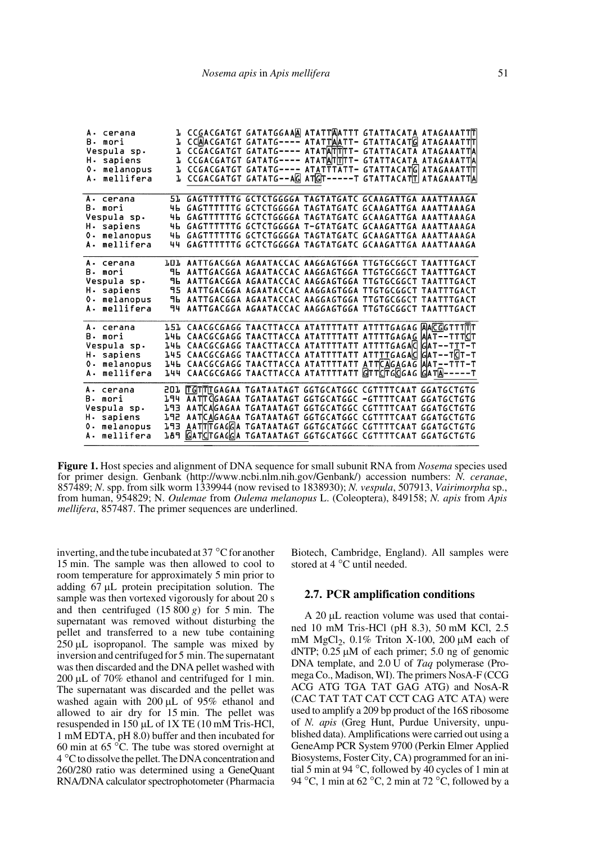| A. cerana      |       |                                                                    | <b>] СССАССАТСТ САТАТССААД АТАТТДАТТТ СТАТТАСАТА АТАСАААТТТ</b> |  |
|----------------|-------|--------------------------------------------------------------------|-----------------------------------------------------------------|--|
| B. mori        |       | 1 ССДАСGАТGТ GATATG---- АТАТТА АТТ- GTATTA CAT G АТАGАААТТ Г       |                                                                 |  |
| Vespula sp.    | Ъ.    |                                                                    | CCGACGATGT GATATG---- ATATATTTT- GTATTACATA ATAGAAATTA          |  |
| H. sapiens     |       |                                                                    | CCGACGATGT GATATG---- ATATATTTT- GTATTACATA ATAGAAATTA          |  |
| 0. melanopus   |       |                                                                    | CCGACGATGT GATATG---- ATATTTATT- GTATTACATG ATAGAAATTT          |  |
| A. mellifera   |       | L CCGACGATGT GATATG--AG ATGT-----T GTATTACATT ATAGAAATTA           |                                                                 |  |
|                |       |                                                                    |                                                                 |  |
| A. cerana      |       | 51 GAGTTTTTTG GCTCTGGGGA TAGTATGATC GCAAGATTGA AAATTAAAGA          |                                                                 |  |
| B. mori        |       | 46 GAGTTTTTTG GCTCTGGGGA TAGTATGATC GCAAGATTGA AAATTAAAGA          |                                                                 |  |
| Vespula sp.    |       | 46 GAGTTTTTTG GCTCTGGGGA TAGTATGATC GCAAGATTGA AAATTAAAGA          |                                                                 |  |
| H. sapiens     | 4Ь.   | GAGTTTTTTG GCTCTGGGGA T-GTATGATC GCAAGATTGA AAATTAAAGA             |                                                                 |  |
| 0. melanopus   |       | 46 GAGTTTTTTG GCTCTGGGGA TAGTATGATC GCAAGATTGA AAATTAAAGA          |                                                                 |  |
| A. mellifera   |       | 44 GAGTTTTTTG GCTCTGGGGA TAGTATGATC GCAAGATTGA AAATTAAAGA          |                                                                 |  |
|                |       |                                                                    |                                                                 |  |
| A. cerana      |       | LOL AATTGACGGA AGAATACCAC AAGGAGTGGA TTGTGCGGCT TAATTTGACT         |                                                                 |  |
| B. mori        |       | 96 AATTGACGGA AGAATACCAC AAGGAGTGGA TTGTGCGGCT TAATTTGACT          |                                                                 |  |
| Vespula sp.    | ۹ь    | AATTGACGGA AGAATACCAC AAGGAGTGGA TTGTGCGGCT TAATTTGACT             |                                                                 |  |
| H. sapiens     | 95    |                                                                    | AATTGACGGA AGAATACCAC AAGGAGTGGA TTGTGCGGCT TAATTTGACT          |  |
| 0. melanopus   | ۹ь    |                                                                    | AATTGACGGA AGAATACCAC AAGGAGTGGA TTGTGCGGCT TAATTTGACT          |  |
| A. mellifera   | 94    |                                                                    | AATTGACGGA AGAATACCAC AAGGAGTGGA TTGTGCGGCT TAATTTGACT          |  |
|                |       |                                                                    |                                                                 |  |
| A. cerana      |       | <b>L5L CAACGCGAGG TAACTTACCA ATATTTTATT ATTTTGAGAG AACGGTTTTTT</b> |                                                                 |  |
| <b>B.</b> mori |       | L46 CAACGCGAGG TAACTTACCA ATATTTTATT ATTTTGAGAG AAT--TTTCT         |                                                                 |  |
| Vespula sp.    | 14L I |                                                                    | CAACGCGAGG TAACTTACCA ATATTTTATT ATTTTGAGACCGAT--TTT-T          |  |
| H. sapiens     |       | 145 CAACGCGAGG ТААСТТАССА АТАТТТТАТТ АТТТТGAGA C G AТ--Т СТ-Т      |                                                                 |  |
| 0. melanopus   |       | 146 CAACGCGAGG TAACTTACCA ATATTTTATT ATTCAGAGAG AAT--TTT-T         |                                                                 |  |
| A. mellifera   |       | ЪЧЧ СААСGСGAGG ТААСТТАССА АТАТТТТАТТ ⊡ТТСПGСGGAG  G АТА-----Т      |                                                                 |  |
|                |       |                                                                    |                                                                 |  |
| A. cerana      |       | 201 MGTMTGAGAA TGATAATAGT GGTGCATGGC CGTTTTCAAT GGATGCTGTG         |                                                                 |  |
| B. mori        |       | 194 AATTCGAGAA TGATAATAGT GGTGCATGGC -GTTTTCAAT GGATGCTGTG         |                                                                 |  |
| Vespula sp.    | 193   |                                                                    | AATCAGAGAA TGATAATAGT GGTGCATGGC CGTTTTCAAT GGATGCTGTG          |  |
| H. sapiens     | 192   |                                                                    | AATCAGAGAA TGATAATAGT GGTGCATGGC CGTTTTCAAT GGATGCTGTG          |  |
| 0. melanopus   | 1.93  |                                                                    | AATTTGAGGA TGATAATAGT GGTGCATGGC CGTTTTCAAT GGATGCTGTG          |  |
| A. mellifera   | 189.  | GATCTGAGGA TGATAATAGT GGTGCATGGC CGTTTTCAAT GGATGCTGTG             |                                                                 |  |
|                |       |                                                                    |                                                                 |  |

**Figure 1.** Host species and alignment of DNA sequence for small subunit RNA from *Nosema* species used for primer design. Genbank (http://www.ncbi.nlm.nih.gov/Genbank/) accession numbers: *N. ceranae*, 857489; *N*. spp. from silk worm 1339944 (now revised to 1838930); *N. vespula*, 507913, *Vairimorpha* sp., from human, 954829; N. *Oulemae* from *Oulema melanopus* L. (Coleoptera), 849158; *N. apis* from *Apis mellifera*, 857487. The primer sequences are underlined.

inverting, and the tube incubated at 37 °C for another 15 min. The sample was then allowed to cool to room temperature for approximately 5 min prior to adding 67 µL protein precipitation solution. The sample was then vortexed vigorously for about 20 s and then centrifuged  $(15800 g)$  for 5 min. The supernatant was removed without disturbing the pellet and transferred to a new tube containing 250 µL isopropanol. The sample was mixed by inversion and centrifuged for 5 min. The supernatant was then discarded and the DNA pellet washed with 200 µL of 70% ethanol and centrifuged for 1 min. The supernatant was discarded and the pellet was washed again with 200 µL of 95% ethanol and allowed to air dry for 15 min. The pellet was resuspended in 150 µL of 1X TE (10 mM Tris-HCl, 1 mM EDTA, pH 8.0) buffer and then incubated for 60 min at 65 °C. The tube was stored overnight at 4 °C to dissolve the pellet. The DNA concentration and 260/280 ratio was determined using a GeneQuant RNA/DNA calculator spectrophotometer (Pharmacia Biotech, Cambridge, England). All samples were stored at 4 °C until needed.

#### **2.7. PCR amplification conditions**

A 20  $\mu$ L reaction volume was used that contained 10 mM Tris-HCl (pH 8.3), 50 mM KCl, 2.5 mM MgCl<sub>2</sub>,  $0.1\%$  Triton X-100, 200  $\mu$ M each of dNTP;  $0.25 \mu M$  of each primer;  $5.0 \text{ ng of genomic}$ DNA template, and 2.0 U of *Taq* polymerase (Promega Co., Madison, WI). The primers NosA-F (CCG ACG ATG TGA TAT GAG ATG) and NosA-R (CAC TAT TAT CAT CCT CAG ATC ATA) were used to amplify a 209 bp product of the 16S ribosome of *N. apis* (Greg Hunt, Purdue University, unpublished data). Amplifications were carried out using a GeneAmp PCR System 9700 (Perkin Elmer Applied Biosystems, Foster City, CA) programmed for an initial 5 min at 94 °C, followed by 40 cycles of 1 min at 94 °C, 1 min at 62 °C, 2 min at 72 °C, followed by a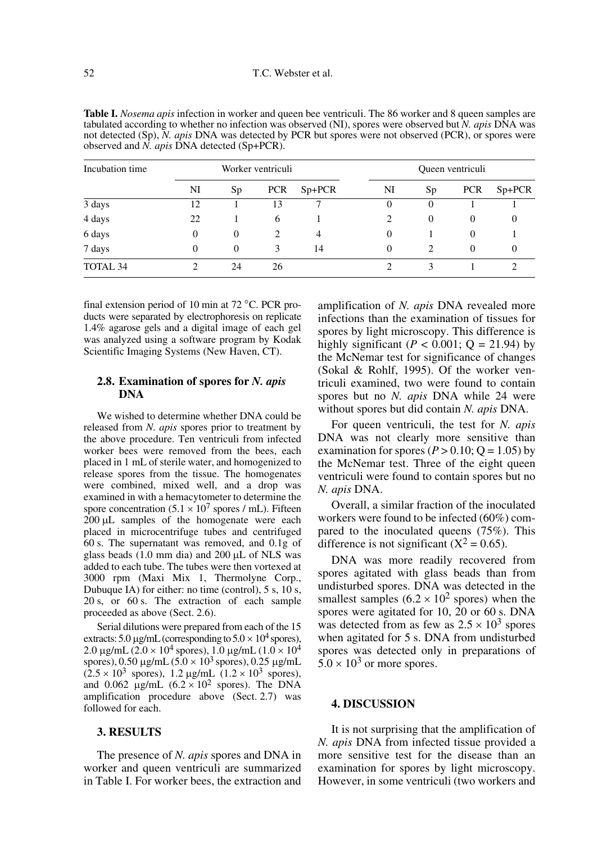| Incubation time | Worker ventriculi |          |            |          | Queen ventriculi |          |            |                    |
|-----------------|-------------------|----------|------------|----------|------------------|----------|------------|--------------------|
|                 | NI                | Sp       | <b>PCR</b> | $Sp+PCR$ | NI               | Sp       | <b>PCR</b> | S <sub>p+PCR</sub> |
| 3 days          | 12                |          | 13         |          | $\Omega$         | 0        |            |                    |
| 4 days          | 22                |          | 6          |          | 2                | $\Omega$ | 0          |                    |
| 6 days          | $\theta$          | $\Omega$ | 2          | 4        | $\Omega$         |          | $\theta$   |                    |
| 7 days          | $\overline{0}$    | $\Omega$ | 3          | 14       | $\mathbf{0}$     | 2        | 0          | $\theta$           |
| TOTAL 34        | ↑                 | 24       | 26         |          |                  |          |            |                    |

**Table I.** *Nosema apis* infection in worker and queen bee ventriculi. The 86 worker and 8 queen samples are tabulated according to whether no infection was observed (NI), spores were observed but *N. apis* DNA was not detected (Sp), *N. apis* DNA was detected by PCR but spores were not observed (PCR), or spores were observed and *N. apis* DNA detected (Sp+PCR).

final extension period of 10 min at 72 °C. PCR products were separated by electrophoresis on replicate 1.4% agarose gels and a digital image of each gel was analyzed using a software program by Kodak Scientific Imaging Systems (New Haven, CT).

# **2.8. Examination of spores for** *N. apis* **DNA**

We wished to determine whether DNA could be released from *N. apis* spores prior to treatment by the above procedure. Ten ventriculi from infected worker bees were removed from the bees, each placed in 1 mL of sterile water, and homogenized to release spores from the tissue. The homogenates were combined, mixed well, and a drop was examined in with a hemacytometer to determine the spore concentration  $(5.1 \times 10^7$  spores / mL). Fifteen 200 µL samples of the homogenate were each placed in microcentrifuge tubes and centrifuged 60 s. The supernatant was removed, and 0.1g of glass beads  $(1.0 \text{ mm dia})$  and  $200 \mu L$  of NLS was added to each tube. The tubes were then vortexed at 3000 rpm (Maxi Mix 1, Thermolyne Corp., Dubuque IA) for either: no time (control), 5 s, 10 s, 20 s, or 60 s. The extraction of each sample proceeded as above (Sect. 2.6).

Serial dilutions were prepared from each of the 15 extracts: 5.0  $\mu$ g/mL (corresponding to 5.0  $\times$  10<sup>4</sup> spores), 2.0  $\mu$ g/mL (2.0 × 10<sup>4</sup> spores), 1.0  $\mu$ g/mL (1.0 × 10<sup>4</sup>) spores), 0.50  $\mu$ g/mL (5.0 × 10<sup>3</sup> spores), 0.25  $\mu$ g/mL  $(2.5 \times 10^3 \text{ spores})$ , 1.2 µg/mL  $(1.2 \times 10^3 \text{ spores})$ , and 0.062  $\mu$ g/mL (6.2 × 10<sup>2</sup> spores). The DNA amplification procedure above (Sect. 2.7) was followed for each.

# **3. RESULTS**

The presence of *N. apis* spores and DNA in worker and queen ventriculi are summarized in Table I. For worker bees, the extraction and amplification of *N. apis* DNA revealed more infections than the examination of tissues for spores by light microscopy. This difference is highly significant  $(P < 0.001; Q = 21.94)$  by the McNemar test for significance of changes (Sokal & Rohlf, 1995). Of the worker ventriculi examined, two were found to contain spores but no *N. apis* DNA while 24 were without spores but did contain *N. apis* DNA.

For queen ventriculi, the test for *N. apis* DNA was not clearly more sensitive than examination for spores ( $P > 0.10$ ;  $Q = 1.05$ ) by the McNemar test. Three of the eight queen ventriculi were found to contain spores but no *N. apis* DNA.

Overall, a similar fraction of the inoculated workers were found to be infected (60%) compared to the inoculated queens (75%). This difference is not significant  $(X^2 = 0.65)$ .

DNA was more readily recovered from spores agitated with glass beads than from undisturbed spores. DNA was detected in the smallest samples  $(6.2 \times 10^2 \text{ spores})$  when the spores were agitated for 10, 20 or 60 s. DNA was detected from as few as  $2.5 \times 10^3$  spores when agitated for 5 s. DNA from undisturbed spores was detected only in preparations of  $5.0 \times 10^3$  or more spores.

## **4. DISCUSSION**

It is not surprising that the amplification of *N. apis* DNA from infected tissue provided a more sensitive test for the disease than an examination for spores by light microscopy. However, in some ventriculi (two workers and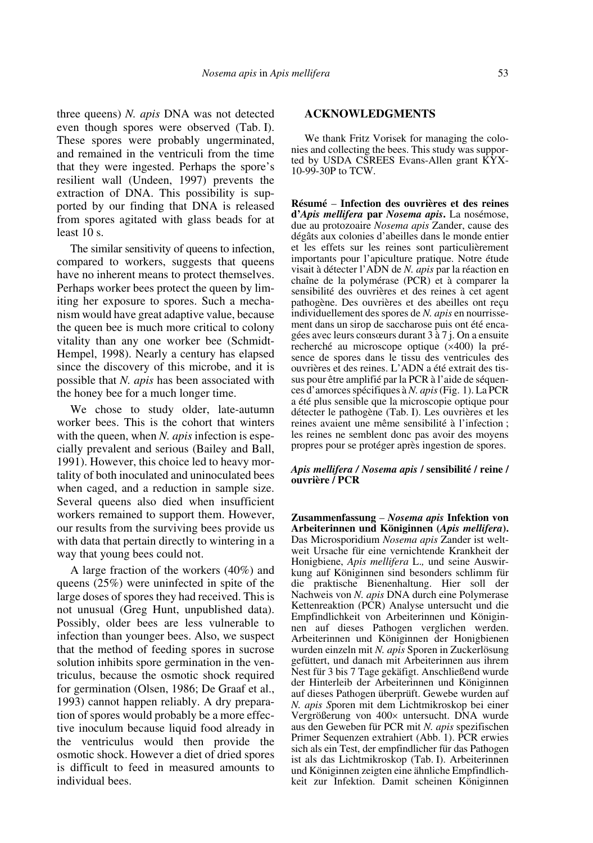three queens) *N. apis* DNA was not detected even though spores were observed (Tab. I). These spores were probably ungerminated, and remained in the ventriculi from the time that they were ingested. Perhaps the spore's resilient wall (Undeen, 1997) prevents the extraction of DNA. This possibility is supported by our finding that DNA is released from spores agitated with glass beads for at least 10 s.

The similar sensitivity of queens to infection, compared to workers, suggests that queens have no inherent means to protect themselves. Perhaps worker bees protect the queen by limiting her exposure to spores. Such a mechanism would have great adaptive value, because the queen bee is much more critical to colony vitality than any one worker bee (Schmidt-Hempel, 1998). Nearly a century has elapsed since the discovery of this microbe, and it is possible that *N. apis* has been associated with the honey bee for a much longer time.

We chose to study older, late-autumn worker bees. This is the cohort that winters with the queen, when *N. apis* infection is especially prevalent and serious (Bailey and Ball, 1991). However, this choice led to heavy mortality of both inoculated and uninoculated bees when caged, and a reduction in sample size. Several queens also died when insufficient workers remained to support them. However, our results from the surviving bees provide us with data that pertain directly to wintering in a way that young bees could not.

A large fraction of the workers (40%) and queens (25%) were uninfected in spite of the large doses of spores they had received. This is not unusual (Greg Hunt, unpublished data). Possibly, older bees are less vulnerable to infection than younger bees. Also, we suspect that the method of feeding spores in sucrose solution inhibits spore germination in the ventriculus, because the osmotic shock required for germination (Olsen, 1986; De Graaf et al., 1993) cannot happen reliably. A dry preparation of spores would probably be a more effective inoculum because liquid food already in the ventriculus would then provide the osmotic shock. However a diet of dried spores is difficult to feed in measured amounts to individual bees.

## **ACKNOWLEDGMENTS**

We thank Fritz Vorisek for managing the colonies and collecting the bees. This study was supported by USDA CSREES Evans-Allen grant KYX-10-99-30P to TCW.

**Résumé** – **Infection des ouvrières et des reines d'***Apis mellifera* **par** *Nosema apis***.** La nosémose, due au protozoaire *Nosema apis* Zander, cause des dégâts aux colonies d'abeilles dans le monde entier et les effets sur les reines sont particulièrement importants pour l'apiculture pratique. Notre étude visait à détecter l'ADN de *N. apis* par la réaction en chaîne de la polymérase (PCR) et à comparer la sensibilité des ouvrières et des reines à cet agent pathogène. Des ouvrières et des abeilles ont reçu individuellement des spores de *N. apis* en nourrissement dans un sirop de saccharose puis ont été encagées avec leurs consœurs durant 3 à 7 j. On a ensuite recherché au microscope optique (×400) la présence de spores dans le tissu des ventricules des ouvrières et des reines. L'ADN a été extrait des tissus pour être amplifié par la PCR à l'aide de séquences d'amorces spécifiques à *N. apis* (Fig. 1). La PCR a été plus sensible que la microscopie optique pour détecter le pathogène (Tab. I). Les ouvrières et les reines avaient une même sensibilité à l'infection ; les reines ne semblent donc pas avoir des moyens propres pour se protéger après ingestion de spores.

#### *Apis mellifera / Nosema apis* **/ sensibilité / reine / ouvrière / PCR**

**Zusammenfassung** – *Nosema apis* **Infektion von Arbeiterinnen und Königinnen (***Apis mellifera***).** Das Microsporidium *Nosema apis* Zander ist weltweit Ursache für eine vernichtende Krankheit der Honigbiene, *Apis mellifera* L.*,* und seine Auswirkung auf Königinnen sind besonders schlimm für die praktische Bienenhaltung. Hier soll der Nachweis von *N. apis* DNA durch eine Polymerase Kettenreaktion (PCR) Analyse untersucht und die Empfindlichkeit von Arbeiterinnen und Königinnen auf dieses Pathogen verglichen werden. Arbeiterinnen und Königinnen der Honigbienen wurden einzeln mit *N. apis* Sporen in Zuckerlösung gefüttert, und danach mit Arbeiterinnen aus ihrem Nest für 3 bis 7 Tage gekäfigt. Anschließend wurde der Hinterleib der Arbeiterinnen und Königinnen auf dieses Pathogen überprüft. Gewebe wurden auf *N. apis S*poren mit dem Lichtmikroskop bei einer Vergrößerung von 400× untersucht. DNA wurde aus den Geweben für PCR mit *N. apis* spezifischen Primer Sequenzen extrahiert (Abb. 1). PCR erwies sich als ein Test, der empfindlicher für das Pathogen ist als das Lichtmikroskop (Tab. I). Arbeiterinnen und Königinnen zeigten eine ähnliche Empfindlichkeit zur Infektion. Damit scheinen Königinnen